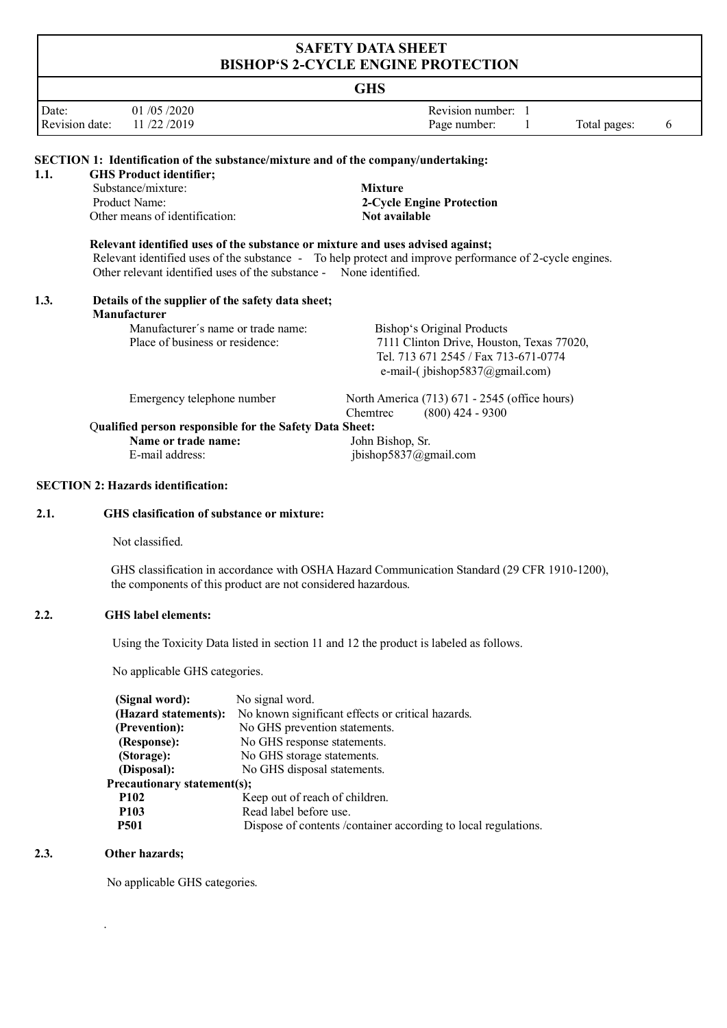# **SAFETY DATA SHEET BISHOP'S 2-CYCLE ENGINE PROTECTION**

# **GHS**

|                |            | und              |              |  |
|----------------|------------|------------------|--------------|--|
| Date:          | 01/05/2020 | Revision number: |              |  |
| Revision date: | 11/22/2019 | Page number:     | Total pages: |  |

| 1.1. | <b>SECTION 1: Identification of the substance/mixture and of the company/undertaking:</b><br><b>GHS Product identifier;</b>                          |                                                                                                         |  |  |  |  |
|------|------------------------------------------------------------------------------------------------------------------------------------------------------|---------------------------------------------------------------------------------------------------------|--|--|--|--|
|      | Substance/mixture:<br>Product Name:<br>Other means of identification:                                                                                | <b>Mixture</b><br>2-Cycle Engine Protection<br>Not available                                            |  |  |  |  |
|      | Relevant identified uses of the substance or mixture and uses advised against;<br>Other relevant identified uses of the substance - None identified. | Relevant identified uses of the substance - To help protect and improve performance of 2-cycle engines. |  |  |  |  |
| 1.3. | Details of the supplier of the safety data sheet;<br>Manufacturer                                                                                    |                                                                                                         |  |  |  |  |
|      | Manufacturer's name or trade name:                                                                                                                   | Bishop's Original Products                                                                              |  |  |  |  |
|      | Place of business or residence:                                                                                                                      | 7111 Clinton Drive, Houston, Texas 77020,                                                               |  |  |  |  |
|      |                                                                                                                                                      | Tel. 713 671 2545 / Fax 713-671-0774                                                                    |  |  |  |  |
|      |                                                                                                                                                      | e-mail-(jbishop5837@gmail.com)                                                                          |  |  |  |  |
|      | Emergency telephone number                                                                                                                           | North America (713) 671 - 2545 (office hours)                                                           |  |  |  |  |
|      |                                                                                                                                                      | $(800)$ 424 - 9300<br>Chemtrec                                                                          |  |  |  |  |
|      | Qualified person responsible for the Safety Data Sheet:                                                                                              |                                                                                                         |  |  |  |  |
|      | Name or trade name:                                                                                                                                  | John Bishop, Sr.                                                                                        |  |  |  |  |
|      | E-mail address:                                                                                                                                      | jbishop5837@gmail.com                                                                                   |  |  |  |  |
|      | <b>SECTION 2: Hazards identification:</b>                                                                                                            |                                                                                                         |  |  |  |  |
| 2.1. | GHS clasification of substance or mixture:                                                                                                           |                                                                                                         |  |  |  |  |

Not classified.

GHS classification in accordance with OSHA Hazard Communication Standard (29 CFR 1910-1200), the components of this product are not considered hazardous.

#### **2.2. GHS label elements:**

Using the Toxicity Data listed in section 11 and 12 the product is labeled as follows.

No applicable GHS categories.

| No signal word.                                                 |
|-----------------------------------------------------------------|
| No known significant effects or critical hazards.               |
| No GHS prevention statements.                                   |
| No GHS response statements.                                     |
| No GHS storage statements.                                      |
| No GHS disposal statements.                                     |
| Precautionary statement(s);                                     |
| Keep out of reach of children.                                  |
| Read label before use.                                          |
| Dispose of contents / container according to local regulations. |
|                                                                 |

#### **2.3. Other hazards;**

.

No applicable GHS categories.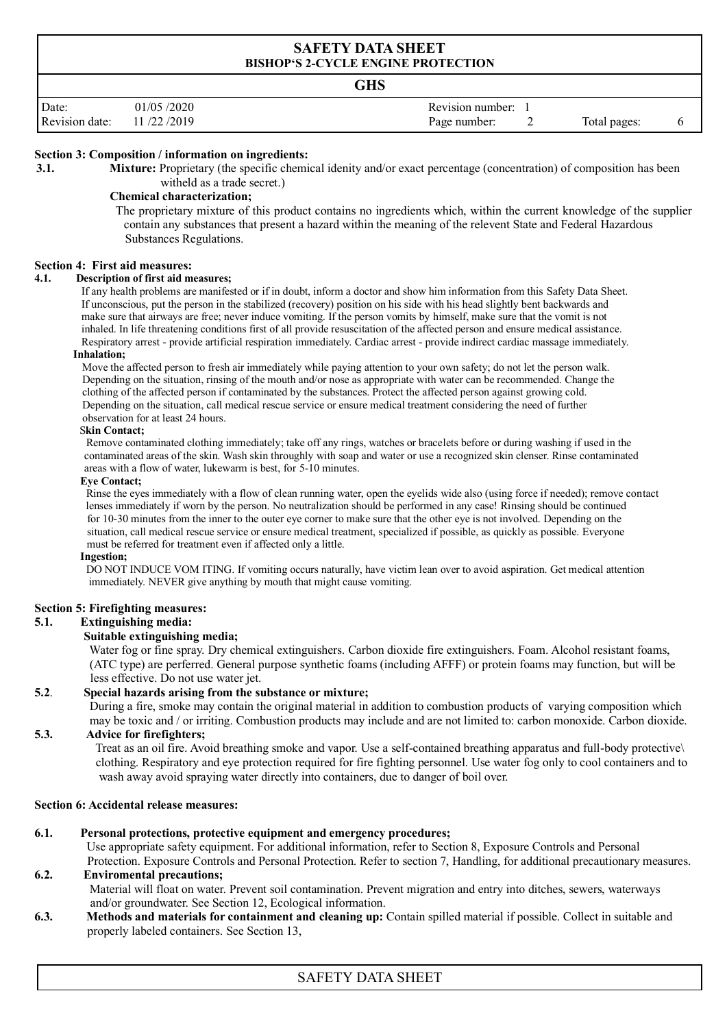# **SAFETY DATA SHEET BISHOP'S 2-CYCLE ENGINE PROTECTION GHS** Date: 01/05/2020 **Revision number:** 1 Revision date: 11/22/2019 **Page number:** 2 Total pages: 6

#### **Section 3: Composition / information on ingredients:**

**3.1.** Mixture: Proprietary (the specific chemical idenity and/or exact percentage (concentration) of composition has been witheld as a trade secret.)

#### **Chemical characterization;**

The proprietary mixture of this product contains no ingredients which, within the current knowledge of the supplier contain any substances that present a hazard within the meaning of the relevent State and Federal Hazardous Substances Regulations.

#### **Section 4: First aid measures:**

#### **4.1. Description of first aid measures;**

If any health problems are manifested or if in doubt, inform a doctor and show him information from this Safety Data Sheet. If unconscious, put the person in the stabilized (recovery) position on his side with his head slightly bent backwards and make sure that airways are free; never induce vomiting. If the person vomits by himself, make sure that the vomit is not inhaled. In life threatening conditions first of all provide resuscitation of the affected person and ensure medical assistance. Respiratory arrest - provide artificial respiration immediately. Cardiac arrest - provide indirect cardiac massage immediately.

#### **Inhalation;**

 Move the affected person to fresh air immediately while paying attention to your own safety; do not let the person walk. Depending on the situation, rinsing of the mouth and/or nose as appropriate with water can be recommended. Change the clothing of the affected person if contaminated by the substances. Protect the affected person against growing cold. Depending on the situation, call medical rescue service or ensure medical treatment considering the need of further observation for at least 24 hours.

#### S**kin Contact;**

 Remove contaminated clothing immediately; take off any rings, watches or bracelets before or during washing if used in the contaminated areas of the skin. Wash skin throughly with soap and water or use a recognized skin clenser. Rinse contaminated areas with a flow of water, lukewarm is best, for 5-10 minutes.

#### **Eye Contact;**

 Rinse the eyes immediately with a flow of clean running water, open the eyelids wide also (using force if needed); remove contact lenses immediately if worn by the person. No neutralization should be performed in any case! Rinsing should be continued for 10-30 minutes from the inner to the outer eye corner to make sure that the other eye is not involved. Depending on the situation, call medical rescue service or ensure medical treatment, specialized if possible, as quickly as possible. Everyone must be referred for treatment even if affected only a little.

#### **Ingestion;**

DO NOT INDUCE VOM ITING. If vomiting occurs naturally, have victim lean over to avoid aspiration. Get medical attention immediately. NEVER give anything by mouth that might cause vomiting.

#### **Section 5: Firefighting measures:**

#### **5.1. Extinguishing media:**

#### **Suitable extinguishing media;**

Water fog or fine spray. Dry chemical extinguishers. Carbon dioxide fire extinguishers. Foam. Alcohol resistant foams, (ATC type) are perferred. General purpose synthetic foams (including AFFF) or protein foams may function, but will be less effective. Do not use water jet.

# **5.2**. **Special hazards arising from the substance or mixture;**

During a fire, smoke may contain the original material in addition to combustion products of varying composition which may be toxic and / or irriting. Combustion products may include and are not limited to: carbon monoxide. Carbon dioxide.

# **5.3. Advice for firefighters;**

 Treat as an oil fire. Avoid breathing smoke and vapor. Use a self-contained breathing apparatus and full-body protective\ clothing. Respiratory and eye protection required for fire fighting personnel. Use water fog only to cool containers and to wash away avoid spraying water directly into containers, due to danger of boil over.

#### **Section 6: Accidental release measures:**

### **6.1. Personal protections, protective equipment and emergency procedures;**

Use appropriate safety equipment. For additional information, refer to Section 8, Exposure Controls and Personal

 Protection. Exposure Controls and Personal Protection. Refer to section 7, Handling, for additional precautionary measures. **6.2. Enviromental precautions;**

Material will float on water. Prevent soil contamination. Prevent migration and entry into ditches, sewers, waterways and/or groundwater. See Section 12, Ecological information.

**6.3. Methods and materials for containment and cleaning up:** Contain spilled material if possible. Collect in suitable and properly labeled containers. See Section 13,

# SAFETY DATA SHEET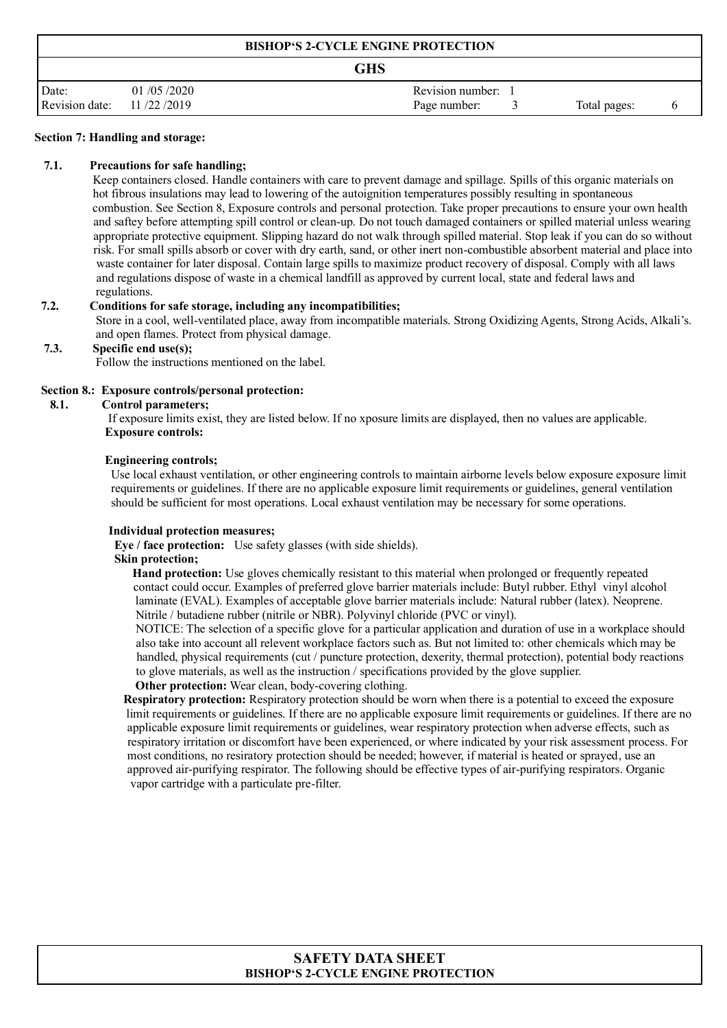| <b>BISHOP'S 2-CYCLE ENGINE PROTECTION</b> |            |                              |  |  |  |
|-------------------------------------------|------------|------------------------------|--|--|--|
| <b>GHS</b>                                |            |                              |  |  |  |
| Date:                                     | 01/05/2020 | Revision number: 1           |  |  |  |
| Revision date:                            | 11/22/2019 | Page number:<br>Total pages: |  |  |  |

#### **Section 7: Handling and storage:**

#### **7.1. Precautions for safe handling;**

Keep containers closed. Handle containers with care to prevent damage and spillage. Spills of this organic materials on hot fibrous insulations may lead to lowering of the autoignition temperatures possibly resulting in spontaneous combustion. See Section 8, Exposure controls and personal protection. Take proper precautions to ensure your own health and saftey before attempting spill control or clean-up. Do not touch damaged containers or spilled material unless wearing appropriate protective equipment. Slipping hazard do not walk through spilled material. Stop leak if you can do so without risk. For small spills absorb or cover with dry earth, sand, or other inert non-combustible absorbent material and place into waste container for later disposal. Contain large spills to maximize product recovery of disposal. Comply with all laws and regulations dispose of waste in a chemical landfill as approved by current local, state and federal laws and regulations.

#### **7.2. Conditions for safe storage, including any incompatibilities;**

Store in a cool, well-ventilated place, away from incompatible materials. Strong Oxidizing Agents, Strong Acids, Alkali's. and open flames. Protect from physical damage.

#### **7.3. Specific end use(s);**

Follow the instructions mentioned on the label.

#### **Section 8.: Exposure controls/personal protection:**

#### **8.1. Control parameters;**

 If exposure limits exist, they are listed below. If no xposure limits are displayed, then no values are applicable. **Exposure controls:**

#### **Engineering controls;**

Use local exhaust ventilation, or other engineering controls to maintain airborne levels below exposure exposure limit requirements or guidelines. If there are no applicable exposure limit requirements or guidelines, general ventilation should be sufficient for most operations. Local exhaust ventilation may be necessary for some operations.

#### **Individual protection measures;**

 **Eye / face protection:** Use safety glasses (with side shields).

### **Skin protection;**

 **Hand protection:** Use gloves chemically resistant to this material when prolonged or frequently repeated contact could occur. Examples of preferred glove barrier materials include: Butyl rubber. Ethyl vinyl alcohol laminate (EVAL). Examples of acceptable glove barrier materials include: Natural rubber (latex). Neoprene. Nitrile / butadiene rubber (nitrile or NBR). Polyvinyl chloride (PVC or vinyl).

 NOTICE: The selection of a specific glove for a particular application and duration of use in a workplace should also take into account all relevent workplace factors such as. But not limited to: other chemicals which may be handled, physical requirements (cut / puncture protection, dexerity, thermal protection), potential body reactions to glove materials, as well as the instruction / specifications provided by the glove supplier.

**Other protection:** Wear clean, body-covering clothing.

 **Respiratory protection:** Respiratory protection should be worn when there is a potential to exceed the exposure limit requirements or guidelines. If there are no applicable exposure limit requirements or guidelines. If there are no applicable exposure limit requirements or guidelines, wear respiratory protection when adverse effects, such as respiratory irritation or discomfort have been experienced, or where indicated by your risk assessment process. For most conditions, no resiratory protection should be needed; however, if material is heated or sprayed, use an approved air-purifying respirator. The following should be effective types of air-purifying respirators. Organic vapor cartridge with a particulate pre-filter.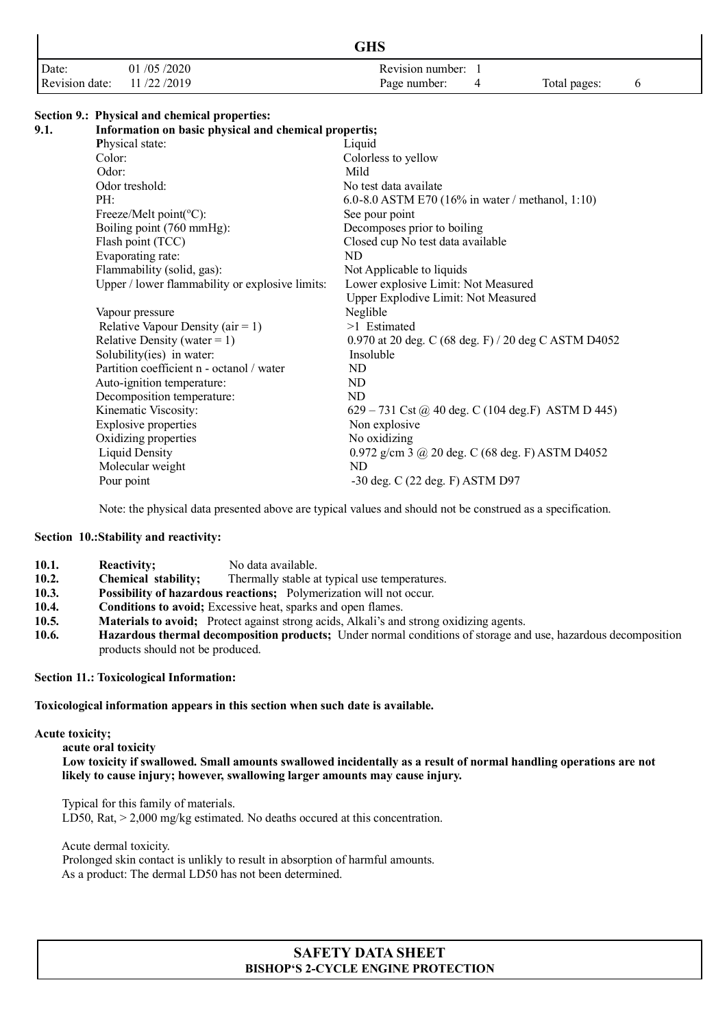|                |            | <b>GHS</b>       |              |  |
|----------------|------------|------------------|--------------|--|
| Date:          | 01/05/2020 | Revision number: |              |  |
| Revision date: | 11/22/2019 | Page number:     | Total pages: |  |

#### **Section 9.: Physical and chemical properties:**

| 9.1. | Information on basic physical and chemical propertis; |                                                            |  |  |  |  |
|------|-------------------------------------------------------|------------------------------------------------------------|--|--|--|--|
|      | Physical state:                                       | Liquid                                                     |  |  |  |  |
|      | Color:                                                | Colorless to yellow                                        |  |  |  |  |
|      | Odor:                                                 | Mild                                                       |  |  |  |  |
|      | Odor treshold:                                        | No test data availate                                      |  |  |  |  |
|      | PH:                                                   | 6.0-8.0 ASTM E70 (16% in water / methanol, 1:10)           |  |  |  |  |
|      | Freeze/Melt point( ${}^{\circ}$ C):                   | See pour point                                             |  |  |  |  |
|      | Boiling point (760 mmHg):                             | Decomposes prior to boiling                                |  |  |  |  |
|      | Flash point (TCC)                                     | Closed cup No test data available                          |  |  |  |  |
|      | Evaporating rate:                                     | ND                                                         |  |  |  |  |
|      | Flammability (solid, gas):                            | Not Applicable to liquids                                  |  |  |  |  |
|      | Upper / lower flammability or explosive limits:       | Lower explosive Limit: Not Measured                        |  |  |  |  |
|      |                                                       | Upper Explodive Limit: Not Measured                        |  |  |  |  |
|      | Vapour pressure                                       | Neglible                                                   |  |  |  |  |
|      | Relative Vapour Density ( $air = 1$ )                 | >1 Estimated                                               |  |  |  |  |
|      | Relative Density (water = $1$ )                       | 0.970 at 20 deg. C (68 deg. F) / 20 deg C ASTM D4052       |  |  |  |  |
|      | Solubility(ies) in water:                             | Insoluble                                                  |  |  |  |  |
|      | Partition coefficient n - octanol / water             | ND                                                         |  |  |  |  |
|      | Auto-ignition temperature:                            | ND                                                         |  |  |  |  |
|      | Decomposition temperature:                            | ND                                                         |  |  |  |  |
|      | Kinematic Viscosity:                                  | 629 – 731 Cst @ 40 deg. C (104 deg.F) ASTM D 445)          |  |  |  |  |
|      | <b>Explosive properties</b>                           | Non explosive                                              |  |  |  |  |
|      | Oxidizing properties                                  | No oxidizing                                               |  |  |  |  |
|      | Liquid Density                                        | 0.972 g/cm $3$ $\omega$ $20$ deg. C (68 deg. F) ASTM D4052 |  |  |  |  |
|      | Molecular weight                                      | ND.                                                        |  |  |  |  |
|      | Pour point                                            | -30 deg. C (22 deg. F) ASTM D97                            |  |  |  |  |
|      |                                                       |                                                            |  |  |  |  |

Note: the physical data presented above are typical values and should not be construed as a specification.

#### **Section 10.:Stability and reactivity:**

- **10.1.** Reactivity; No data available.
- **10.2. Chemical stability;** Thermally stable at typical use temperatures.
- **10.3. Possibility of hazardous reactions;** Polymerization will not occur.
- **10.4. Conditions to avoid;** Excessive heat, sparks and open flames.<br>**10.5. Materials to avoid:** Protect against strong acids. Alkali's and
- Materials to avoid; Protect against strong acids, Alkali's and strong oxidizing agents.
- **10.6. Hazardous thermal decomposition products;** Under normal conditions of storage and use, hazardous decomposition products should not be produced.

#### **Section 11.: Toxicological Information:**

### **Toxicological information appears in this section when such date is available.**

#### **Acute toxicity;**

 **acute oral toxicity Low toxicity if swallowed. Small amounts swallowed incidentally as a result of normal handling operations are not likely to cause injury; however, swallowing larger amounts may cause injury.**

 Typical for this family of materials. LD50, Rat,  $> 2,000$  mg/kg estimated. No deaths occured at this concentration.

 Acute dermal toxicity. Prolonged skin contact is unlikly to result in absorption of harmful amounts. As a product: The dermal LD50 has not been determined.

# **SAFETY DATA SHEET BISHOP'S 2-CYCLE ENGINE PROTECTION**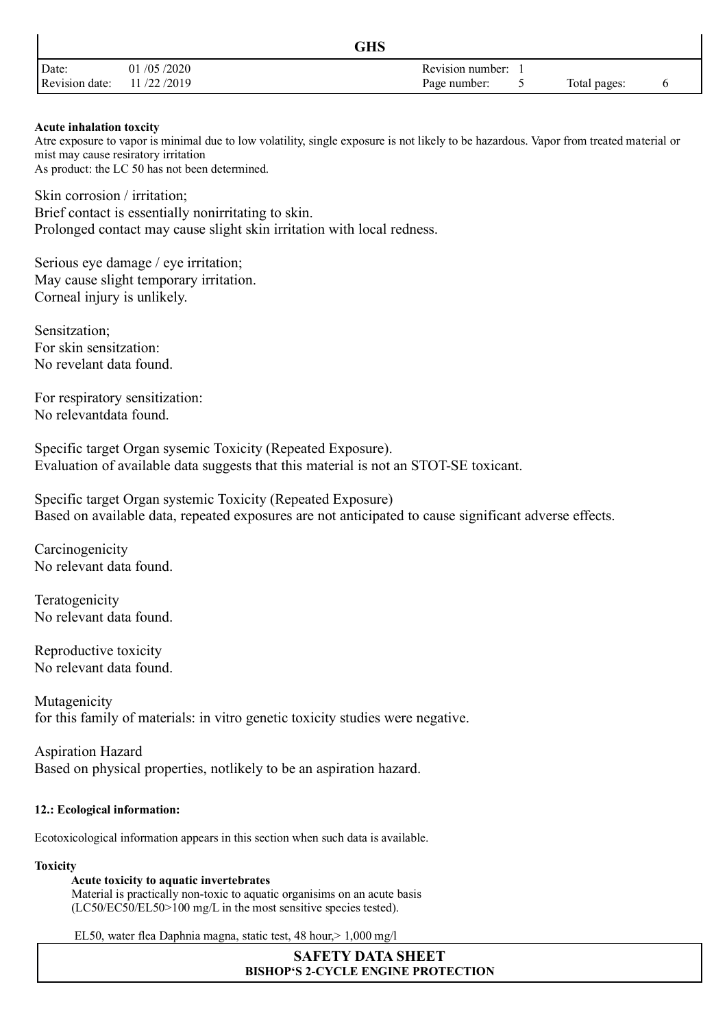|                |            | GHS              |              |  |
|----------------|------------|------------------|--------------|--|
| Date:          | 01/05/2020 | Revision number: |              |  |
| Revision date: | 11/22/2019 | Page number:     | Total pages: |  |

### **Acute inhalation toxcity**

Atre exposure to vapor is minimal due to low volatility, single exposure is not likely to be hazardous. Vapor from treated material or mist may cause resiratory irritation As product: the LC 50 has not been determined.

Skin corrosion / irritation; Brief contact is essentially nonirritating to skin. Prolonged contact may cause slight skin irritation with local redness.

Serious eye damage / eye irritation; May cause slight temporary irritation. Corneal injury is unlikely.

Sensitzation; For skin sensitzation: No revelant data found.

For respiratory sensitization: No relevantdata found.

Specific target Organ sysemic Toxicity (Repeated Exposure). Evaluation of available data suggests that this material is not an STOT-SE toxicant.

Specific target Organ systemic Toxicity (Repeated Exposure) Based on available data, repeated exposures are not anticipated to cause significant adverse effects.

Carcinogenicity No relevant data found.

Teratogenicity No relevant data found.

Reproductive toxicity No relevant data found.

Mutagenicity for this family of materials: in vitro genetic toxicity studies were negative.

Aspiration Hazard Based on physical properties, notlikely to be an aspiration hazard.

# **12.: Ecological information:**

Ecotoxicological information appears in this section when such data is available.

# **Toxicity**

# **Acute toxicity to aquatic invertebrates**

Material is practically non-toxic to aquatic organisims on an acute basis (LC50/EC50/EL50>100 mg/L in the most sensitive species tested).

EL50, water flea Daphnia magna, static test, 48 hour,> 1,000 mg/l

**SAFETY DATA SHEET BISHOP'S 2-CYCLE ENGINE PROTECTION**